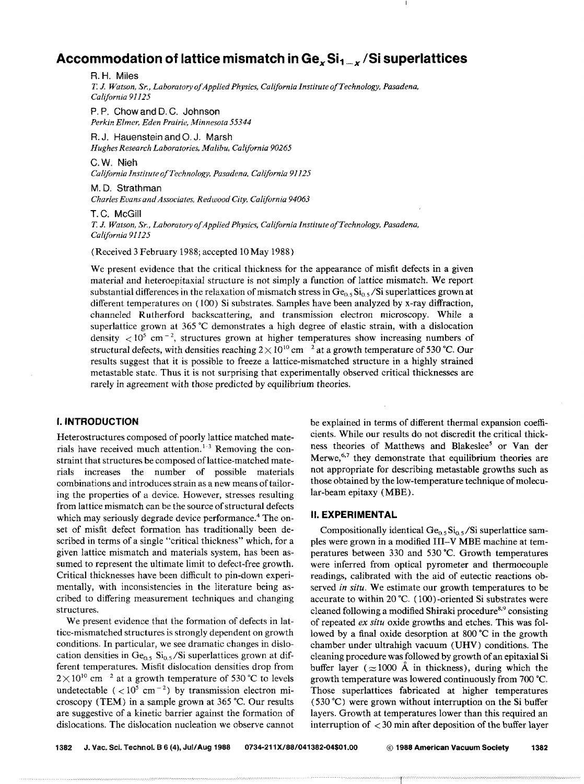# **Accommodation of lattice mismatch in** *Gex* **Si<sup>1</sup> \_x /Si superlattices**

R.H. Miles *1: J. Watson, Sr., Laboratory ojApplied Physics, California Institute of Technology, Pasadena, California 91125* 

P. P. Chow and D. C. Johnson  $Perkin$ *Elmer, Eden Prairie, Minnesota 55344* 

R. J. Hauenstein and 0. J. Marsh *Hughes Research Laboratories, Malibu, California 90265* 

C.W. Nieh

*Califbrnia JnstituteofTechnology, Pasadena. Cal{fornia 91125* 

M.D. Strathman *Charles Evans and Associates, Redwood City, California 94063* 

T.C. McGill *T. J. Watson, Sr., Laboratory of Applied Physics, Cabfornia Institute ofTechnology, Pasadena, California 91125* 

(Received 3 February 1988; accepted 10 May 1988)

We present evidence that the critical thickness for the appearance of misfit defects in a given material and heteroepitaxial structure is not simply a function of lattice mismatch. We report substantial differences in the relaxation of mismatch stress in  $Ge_0$ ,  $Si_0$ ,  $Si$  superlattices grown at different temperatures on ( 100) Si substrates. Samples have been analyzed by x-ray diffraction, channeled Rutherford backscattering, and transmission electron microscopy. While a superlattice grown at  $365^{\circ}$ C demonstrates a high degree of elastic strain, with a dislocation density  $\langle 10^5 \text{ cm}^{-2} \rangle$ , structures grown at higher temperatures show increasing numbers of structural defects, with densities reaching  $2 \times 10^{10}$  cm  $^{-2}$  at a growth temperature of 530 °C. Our results suggest that it is possible to freeze a lattice-mismatched structure in a highly strained metastable state. Thus it is not surprising that experimentally observed critical thicknesses are rarely in agreement with those predicted by equilibrium theories.

# I. **INTRODUCTION**

Heterostructures composed of poorly lattice matched materials have received much attention.<sup>1-3</sup> Removing the constraint that structures be composed of lattice-matched materials increases the number of possible materials combinations and introduces strain as a new means of tailoring the properties of a device. However, stresses resulting from lattice mismatch can be the source of structural defects which may seriously degrade device performance.<sup>4</sup> The onset of misfit defect formation has traditionally been described in terms of a single "critical thickness" which, for a given lattice mismatch and materials system, has been assumed to represent the ultimate limit to defect-free growth. Critical thicknesses have been difficult to pin-down experimentally, with inconsistencies in the literature being ascribed to differing measurement techniques and changing structures.

We present evidence that the formation of defects in lattice-mismatched structures is strongly dependent on growth conditions. In particular, we see dramatic changes in dislocation densities in  $Ge_{0.5}$   $Si_{0.5}/Si$  superlattices grown at different temperatures. Misfit dislocation densities drop from  $2 \times 10^{10}$  cm<sup>-2</sup> at a growth temperature of 530 °C to levels undetectable ( $\langle 10^5 \text{ cm}^{-2} \rangle$  by transmission electron microscopy (TEM) in a sample grown at 365 °C. Our results are suggestive of a kinetic barrier against the formation of dislocations. The dislocation nucleation we observe cannot

be explained in terms of different thermal expansion coefficients. While our results do not discredit the critical thickness theories of Matthews and Blakeslee<sup>5</sup> or Van der Merwe,  $6.7$  they demonstrate that equilibrium theories are not appropriate for describing metastable growths such as those obtained by the low-temperature technique of molecular-beam epitaxy (MBE).

#### II. **EXPERIMENTAL**

Compositionally identical  $Ge_{0.5}Si_{0.5}/Si$  superlattice samples were grown in a modified III-V MBE machine at temperatures between 330 and 530 °C. Growth temperatures were inferred from optical pyrometer and thermocouple readings, calibrated with the aid of eutectic reactions observed *in situ.* We estimate our growth temperatures to be accurate to within 20 "C. ( 100) -oriented Si substrates were cleaned following a modified Shiraki procedure<sup>8,9</sup> consisting of repeated *ex situ* oxide growths and etches. This was followed by a final oxide desorption at 800  $\degree$ C in the growth chamber under ultrahigh vacuum (UHV) conditions. The cleaning procedure was followed by growth of an epitaxial Si buffer layer ( $\approx$ 1000 Å in thickness), during which the growth temperature was lowered continuously from 700 °C. Those superlattices fabricated at higher temperatures ( 530 °C) were grown without interruption on the Si buffer layers. Growth at temperatures lower than this required an interruption of  $\lt$  30 min after deposition of the buffer layer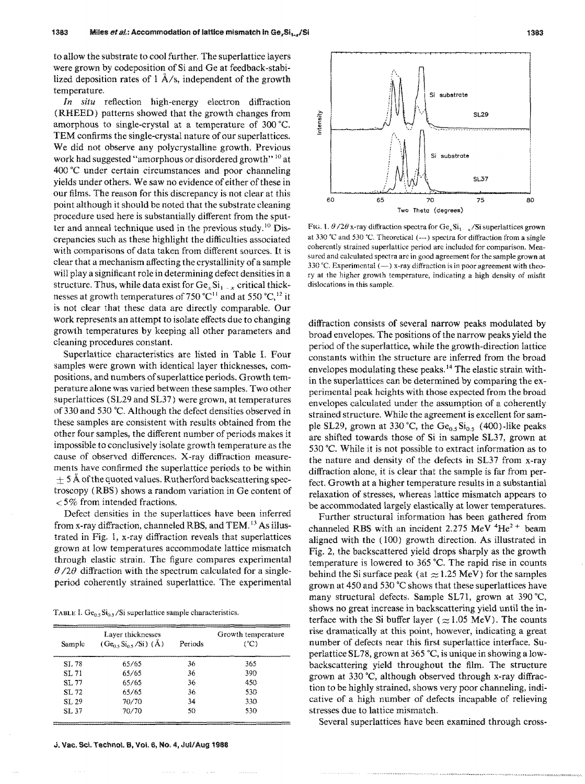to allow the substrate to cool further. The superlattice layers were grown by codeposition of Si and Ge at feedback-stabilized deposition rates of  $1 \text{ Å/s}$ , independent of the growth temperature.

*In situ* reflection high-energy electron diffraction (RHEED) patterns showed that the growth changes from amorphous to single-crystal at a temperature of  $300$  °C. TEM confirms the single-crystal nature of our superlattices. We did not observe any polycrystalline growth. Previous work had suggested "amorphous or disordered growth" <sup>10</sup> at  $400^{\circ}$ C under certain circumstances and poor channeling yields under others. We saw no evidence of either of these in our films. The reason for this discrepancy is not clear at this point although it should be noted that the substrate cleaning procedure used here is substantially different from the sputter and anneal technique used in the previous study.<sup>10</sup> Discrepancies such as these highlight the difficulties associated with comparisons of data taken from different sources. It is clear that a mechanism affecting the crystallinity of a sample will play a significant role in determining defect densities in a structure. Thus, while data exist for  $Ge_xSi_{1-x}$  critical thicknesses at growth temperatures of 750 °C<sup>11</sup> and at 550 °C,<sup>12</sup> it is not clear that these data are directly comparable. Our work represents an attempt to isolate effects due to changing growth temperatures by keeping all other parameters and cleaning procedures constant

Superlattice characteristics are listed in Table I. Four samples were grown with identical layer thicknesses, compositions, and numbers of superlattice periods. Growth temperature alone was varied between these samples. Two other superlattices (SL29 and SL37) were grown, at temperatures of 330 and 530 °C. Although the defect densities observed in these samples are consistent with results obtained from the other four samples, the different number of periods makes it impossible to conclusively isolate growth temperature as the cause of observed differences. X-ray diffraction measurements have confirmed the superlattice periods to be within  $\pm$  5 Å of the quoted values. Rutherford backscattering spectroscopy (RBS) shows a random variation in Ge content of  $<$  5% from intended fractions.

Defect densities in the superlattices have been inferred from x-ray diffraction, channeled RBS, and TEM. 13 As illustrated in Fig. 1, x-ray diffraction reveals that superlattices grown at low temperatures accommodate lattice mismatch through elastic strain. The figure compares experimental  $\theta$  /2 $\theta$  diffraction with the spectrum calculated for a singleperiod coherently strained superlattice. The experimental

TABLE I.  $Ge_{0.5}Si_{0.5}/Si$  superlattice sample characteristics.

| Sample | Layer thicknesses<br>$(Ge_{0.5}Si_{0.5}/Si)$ (Å) | Periods | Growth temperature<br>(°C) |
|--------|--------------------------------------------------|---------|----------------------------|
| SL 78  | 65/65                                            | 36      | 365                        |
| SL 71  | 65/65                                            | 36      | 390                        |
| SL 77  | 65/65                                            | 36      | 450                        |
| SL 72  | 65/65                                            | 36      | 530                        |
| ST 29  | 70/70                                            | 34      | 330                        |
| SL 37  | 70/70                                            | 50      | 530                        |



FtG. 1.  $\theta$  /2 $\theta$  x-ray diffraction spectra for Ge<sub>x</sub>Si<sub>1</sub>. <sub>x</sub>/Si superlattices grown at 330 'C and 530 'C. Theoretical ( ---) spectra for diffraction from a single coherently strained superlattice period are included for comparison. Measured and calculated spectra are in good agreement for the sample grown at 330 °C. Experimental  $(-)$  x-ray diffraction is in poor agreement with theory at the higher growth temperature, indicating a high density of misfit dislocations in this sample.

diffraction consists of several narrow peaks modulated by broad envelopes. The positions of the narrow peaks yield the period of the superlattice, while the growth-direction lattice constants within the structure are inferred from the broad envelopes modulating these peaks.<sup>14</sup> The elastic strain within the superlattices can be determined by comparing the experimental peak heights with those expected from the broad envelopes calculated under the assumption of a coherently strained structure. While the agreement is excellent for sample SL29, grown at 330 °C, the  $Ge_{0.5}Si_{0.5}$  (400)-like peaks are shifted towards those of Si in sample SL37, grown at 530  $^{\circ}$ C. While it is not possible to extract information as to the nature and density of the defects in SL37 from x-ray diffraction alone, it is clear that the sample is far from perfect. Growth at a higher temperature results in a substantial relaxation of stresses, whereas lattice mismatch appears to be accommodated largely elastically at lower temperatures.

Further structural information has been gathered from channeled RBS with an incident 2.275 MeV  ${}^{4}He^{2+}$  beam aligned with the (100) growth direction. As illustrated in Fig. 2, the backscattered yield drops sharply as the growth temperature is lowered to  $365^{\circ}$ C. The rapid rise in counts behind the Si surface peak (at  $\approx$  1.25 MeV) for the samples grown at 450 and 530  $^{\circ}$ C shows that these superlattices have many structural defects. Sample SL71, grown at 390 °C, shows no great increase in backscattering yield until the interface with the Si buffer layer ( $\approx$ 1.05 MeV). The counts rise dramatically at this point, however, indicating a great number of defects near this first superlattice interface. Superlattice SL78, grown at 365 °C, is unique in showing a lowbackscattering yield throughout the film. The structure grown at 330 °C, although observed through x-ray diffraction to be highly strained, shows very poor channeling, indicative of a high number of defects incapable of relieving stresses due to lattice mismatch.

Several superlattices have been examined through cross-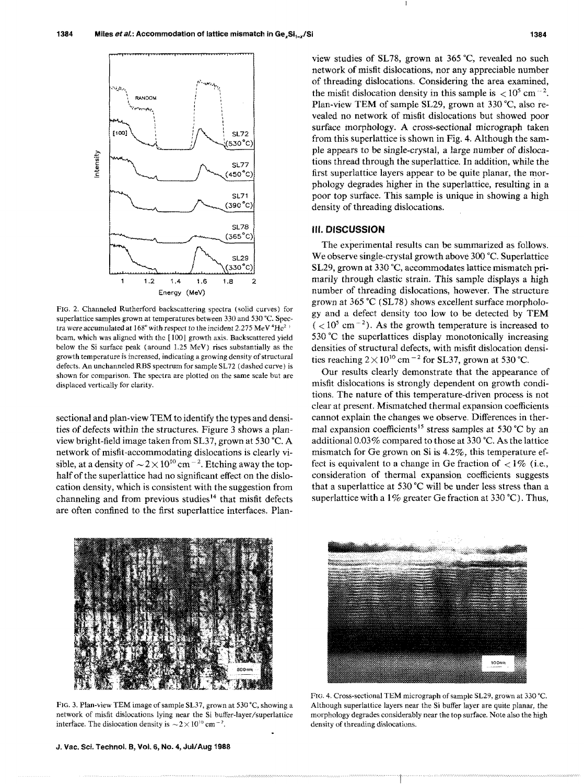

FIG. 2. Channeled Rutherford backscattering spectra (solid curves) for superlattice samples grown at temperatures between 330 and 530 °C. Spectra were accumulated at  $168^{\circ}$  with respect to the incident 2.275 MeV  $^4\mathrm{He^2}$   $^+$ beam, which was aligned with the [100] growth axis. Backscattered yield below the Si surface peak (around 1.25 MeV) rises substantially as the growth temperature is increased, indicating a growing density of structural defects. An unchanneled RBS spectrum for sample SL72 (dashed curve) is shown for comparison. The spectra are plotted on the same scale but are displaced vertically for clarity.

sectional and plan-view TEM to identify the types and densities of defects within the structures. Figure 3 shows a planview bright-field image taken from SL37, grown at 530 °C. A network of misfit -accommodating dislocations is clearly visible, at a density of  $\sim 2 \times 10^{10}$  cm<sup>-2</sup>. Etching away the tophalf of the superlattice had no significant effect on the dislocation density, which is consistent with the suggestion from channeling and from previous studies<sup> $14$ </sup> that misfit defects are often confined to the first superlattice interfaces. Planview studies of SL78, grown at 365 °C, revealed no such network of misfit dislocations, nor any appreciable number of threading dislocations. Considering the area examined, the misfit dislocation density in this sample is  $\langle 10^5 \text{ cm}^{-2} \rangle$ . Plan-view TEM of sample SL29, grown at 330 °C, also revealed no network of misfit dislocations but showed poor surface morphology. A cross-sectional micrograph taken from this superlattice is shown in Fig. 4. Although the sample appears to be single-crystal, a large number of dislocations thread through the superlattice. In addition, while the first superlattice layers appear to be quite planar, the morphology degrades higher in the superlattice, resulting in a poor top surface. This sample is unique in showing a high density of threading dislocations.

## Ill. DISCUSSION

The experimental results can be summarized as follows. We observe single-crystal growth above 300 °C. Superlattice SL29, grown at 330 °C, accommodates lattice mismatch primarily through elastic strain. This sample displays a high number of threading dislocations, however. The structure grown at  $365 \text{ °C}$  (SL78) shows excellent surface morphology and a defect density too iow to be detected by TEM  $(< 10<sup>5</sup>$  cm<sup>-2</sup>). As the growth temperature is increased to 530  $^{\circ}$ C the superlattices display monotonically increasing densities of structural defects, with misfit dislocation densities reaching  $2 \times 10^{10}$  cm<sup>-2</sup> for SL37, grown at 530 °C.

Our results clearly demonstrate that the appearance of misfit dislocations is strongly dependent on growth conditions. The nature of this temperature-driven process is not clear at present. Mismatched thermal expansion coefficients cannot explain the changes we observe. Differences in thermal expansion coefficients<sup>15</sup> stress samples at 530 °C by an additional 0.03% compared to those at 330 °C. As the lattice mismatch for Ge grown on Si is  $4.2\%$ , this temperature effect is equivalent to a change in Ge fraction of  $\langle 1\% \rangle$  (i.e., consideration of thermal expansion coefficients suggests that a superlattice at 530 °C will be under less stress than a superlattice with a 1% greater Ge fraction at 330 °C). Thus,



FIG. 3. Plan-view TEM image of sample SL37, grown at 530 °C, showing a network of misfit dislocations lying near the Si buffer-layer/superlattice interface. The dislocation density is  $\sim$  2  $\times$  10<sup>10</sup> cm<sup>-2</sup>.

J. Vac. Sci. Technol. B, Vol. 6, No. 4, Jul/Aug 1988



FIG. 4. Cross-sectional TEM micrograph of sample SL29, grown at 330 'C. Although superlattice layers near the Si buffer layer are quite planar, the morphology degrades considerably near the top surface. Note also the high density of threading dislocations.